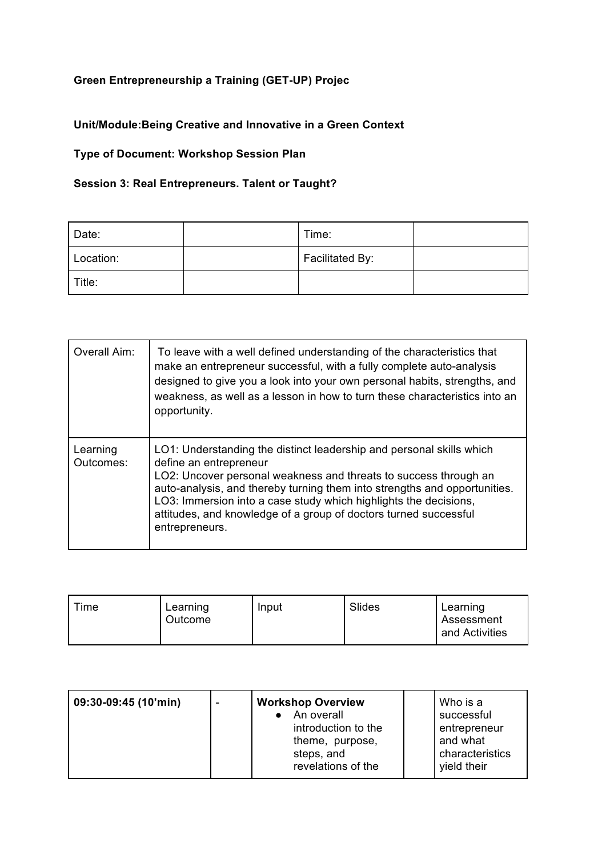## **Green Entrepreneurship a Training (GET-UP) Projec**

## **Unit/Module:Being Creative and Innovative in a Green Context**

## **Type of Document: Workshop Session Plan**

## **Session 3: Real Entrepreneurs. Talent or Taught?**

| Date:     | Time:           |  |
|-----------|-----------------|--|
| Location: | Facilitated By: |  |
| Title:    |                 |  |

| Overall Aim:          | To leave with a well defined understanding of the characteristics that<br>make an entrepreneur successful, with a fully complete auto-analysis<br>designed to give you a look into your own personal habits, strengths, and<br>weakness, as well as a lesson in how to turn these characteristics into an<br>opportunity.                                                                                 |
|-----------------------|-----------------------------------------------------------------------------------------------------------------------------------------------------------------------------------------------------------------------------------------------------------------------------------------------------------------------------------------------------------------------------------------------------------|
| Learning<br>Outcomes: | LO1: Understanding the distinct leadership and personal skills which<br>define an entrepreneur<br>LO2: Uncover personal weakness and threats to success through an<br>auto-analysis, and thereby turning them into strengths and opportunities.<br>LO3: Immersion into a case study which highlights the decisions,<br>attitudes, and knowledge of a group of doctors turned successful<br>entrepreneurs. |

| <sup>r</sup> ime | Learning<br>Outcome | Input | Slides | Learning<br>Assessment<br>and Activities |
|------------------|---------------------|-------|--------|------------------------------------------|
|------------------|---------------------|-------|--------|------------------------------------------|

| 09:30-09:45 (10'min) | <b>Workshop Overview</b><br>An overall<br>introduction to the<br>theme, purpose,<br>steps, and | Who is a<br>successful<br>entrepreneur<br>and what<br>characteristics |
|----------------------|------------------------------------------------------------------------------------------------|-----------------------------------------------------------------------|
|                      | revelations of the                                                                             | yield their                                                           |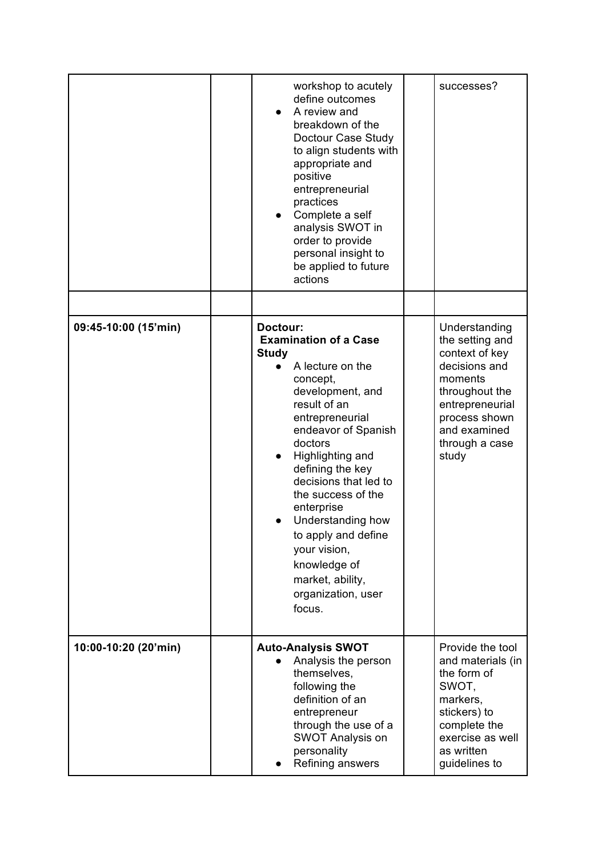|                      | workshop to acutely<br>define outcomes<br>A review and<br>$\bullet$<br>breakdown of the<br>Doctour Case Study<br>to align students with<br>appropriate and<br>positive<br>entrepreneurial<br>practices<br>Complete a self<br>analysis SWOT in<br>order to provide<br>personal insight to<br>be applied to future<br>actions                                                                                                         | successes?                                                                                                                                                                      |
|----------------------|-------------------------------------------------------------------------------------------------------------------------------------------------------------------------------------------------------------------------------------------------------------------------------------------------------------------------------------------------------------------------------------------------------------------------------------|---------------------------------------------------------------------------------------------------------------------------------------------------------------------------------|
| 09:45-10:00 (15'min) | Doctour:<br><b>Examination of a Case</b><br><b>Study</b><br>A lecture on the<br>concept,<br>development, and<br>result of an<br>entrepreneurial<br>endeavor of Spanish<br>doctors<br>Highlighting and<br>$\bullet$<br>defining the key<br>decisions that led to<br>the success of the<br>enterprise<br>Understanding how<br>to apply and define<br>your vision,<br>knowledge of<br>market, ability,<br>organization, user<br>focus. | Understanding<br>the setting and<br>context of key<br>decisions and<br>moments<br>throughout the<br>entrepreneurial<br>process shown<br>and examined<br>through a case<br>study |
| 10:00-10:20 (20'min) | <b>Auto-Analysis SWOT</b><br>Analysis the person<br>themselves,<br>following the<br>definition of an<br>entrepreneur<br>through the use of a<br><b>SWOT Analysis on</b><br>personality<br>Refining answers                                                                                                                                                                                                                          | Provide the tool<br>and materials (in<br>the form of<br>SWOT,<br>markers,<br>stickers) to<br>complete the<br>exercise as well<br>as written<br>guidelines to                    |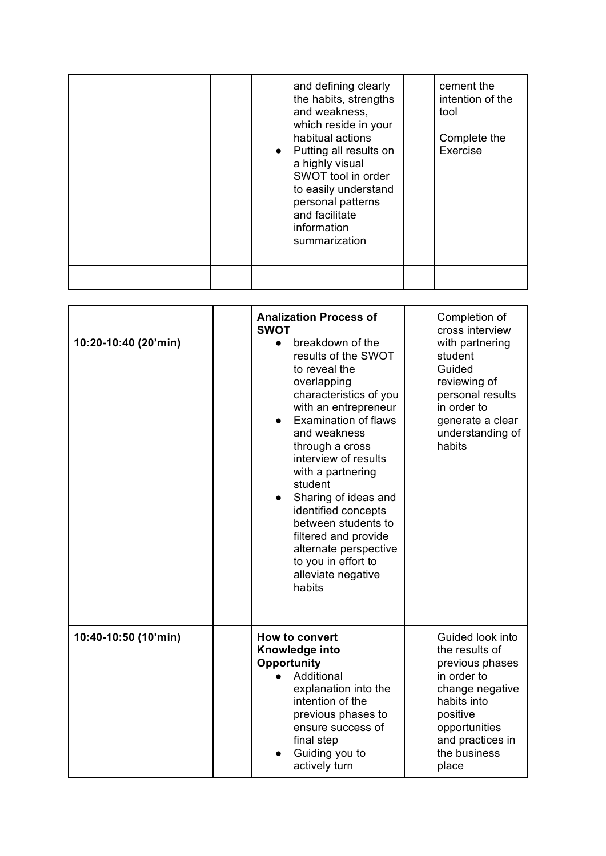|  | and defining clearly<br>the habits, strengths<br>and weakness,<br>which reside in your<br>habitual actions<br>• Putting all results on<br>a highly visual<br>SWOT tool in order<br>to easily understand<br>personal patterns<br>and facilitate<br>information<br>summarization | cement the<br>intention of the<br>tool<br>Complete the<br>Exercise |
|--|--------------------------------------------------------------------------------------------------------------------------------------------------------------------------------------------------------------------------------------------------------------------------------|--------------------------------------------------------------------|
|  |                                                                                                                                                                                                                                                                                |                                                                    |

| 10:20-10:40 (20'min) | <b>Analization Process of</b><br><b>SWOT</b><br>breakdown of the<br>$\bullet$<br>results of the SWOT<br>to reveal the<br>overlapping<br>characteristics of you<br>with an entrepreneur<br><b>Examination of flaws</b><br>and weakness<br>through a cross<br>interview of results<br>with a partnering<br>student<br>Sharing of ideas and<br>identified concepts<br>between students to<br>filtered and provide<br>alternate perspective<br>to you in effort to<br>alleviate negative<br>habits | Completion of<br>cross interview<br>with partnering<br>student<br>Guided<br>reviewing of<br>personal results<br>in order to<br>generate a clear<br>understanding of<br>habits    |
|----------------------|------------------------------------------------------------------------------------------------------------------------------------------------------------------------------------------------------------------------------------------------------------------------------------------------------------------------------------------------------------------------------------------------------------------------------------------------------------------------------------------------|----------------------------------------------------------------------------------------------------------------------------------------------------------------------------------|
| 10:40-10:50 (10'min) | <b>How to convert</b><br>Knowledge into<br>Opportunity<br>Additional<br>explanation into the<br>intention of the<br>previous phases to<br>ensure success of<br>final step<br>Guiding you to<br>actively turn                                                                                                                                                                                                                                                                                   | Guided look into<br>the results of<br>previous phases<br>in order to<br>change negative<br>habits into<br>positive<br>opportunities<br>and practices in<br>the business<br>place |